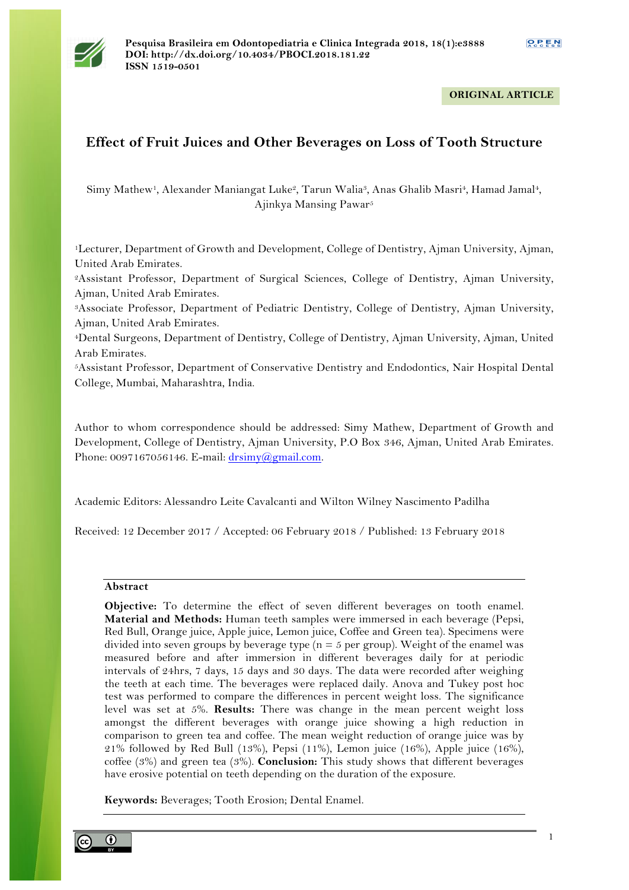

## **ORIGINAL ARTICLE**

# **Effect of Fruit Juices and Other Beverages on Loss of Tooth Structure**

Simy Mathew1, Alexander Maniangat Luke2, Tarun Walia3, Anas Ghalib Masri4, Hamad Jamal4, Ajinkya Mansing Pawar5

1Lecturer, Department of Growth and Development, College of Dentistry, Ajman University, Ajman, United Arab Emirates.

2Assistant Professor, Department of Surgical Sciences, College of Dentistry, Ajman University, Ajman, United Arab Emirates.

3Associate Professor, Department of Pediatric Dentistry, College of Dentistry, Ajman University, Ajman, United Arab Emirates.

4Dental Surgeons, Department of Dentistry, College of Dentistry, Ajman University, Ajman, United Arab Emirates.

5Assistant Professor, Department of Conservative Dentistry and Endodontics, Nair Hospital Dental College, Mumbai, Maharashtra, India.

Author to whom correspondence should be addressed: Simy Mathew, Department of Growth and Development, College of Dentistry, Ajman University, P.O Box 346, Ajman, United Arab Emirates. Phone: 0097167056146. E-mail: drsimy@gmail.com.

Academic Editors: Alessandro Leite Cavalcanti and Wilton Wilney Nascimento Padilha

Received: 12 December 2017 / Accepted: 06 February 2018 / Published: 13 February 2018

#### **Abstract**

**Objective:** To determine the effect of seven different beverages on tooth enamel. **Material and Methods:** Human teeth samples were immersed in each beverage (Pepsi, Red Bull, Orange juice, Apple juice, Lemon juice, Coffee and Green tea). Specimens were divided into seven groups by beverage type ( $n = 5$  per group). Weight of the enamel was measured before and after immersion in different beverages daily for at periodic intervals of 24hrs, 7 days, 15 days and 30 days. The data were recorded after weighing the teeth at each time. The beverages were replaced daily. Anova and Tukey post hoc test was performed to compare the differences in percent weight loss. The significance level was set at 5%. **Results:** There was change in the mean percent weight loss amongst the different beverages with orange juice showing a high reduction in comparison to green tea and coffee. The mean weight reduction of orange juice was by 21% followed by Red Bull (13%), Pepsi (11%), Lemon juice (16%), Apple juice (16%), coffee (3%) and green tea (3%). **Conclusion:** This study shows that different beverages have erosive potential on teeth depending on the duration of the exposure.

**Keywords:** Beverages; Tooth Erosion; Dental Enamel.

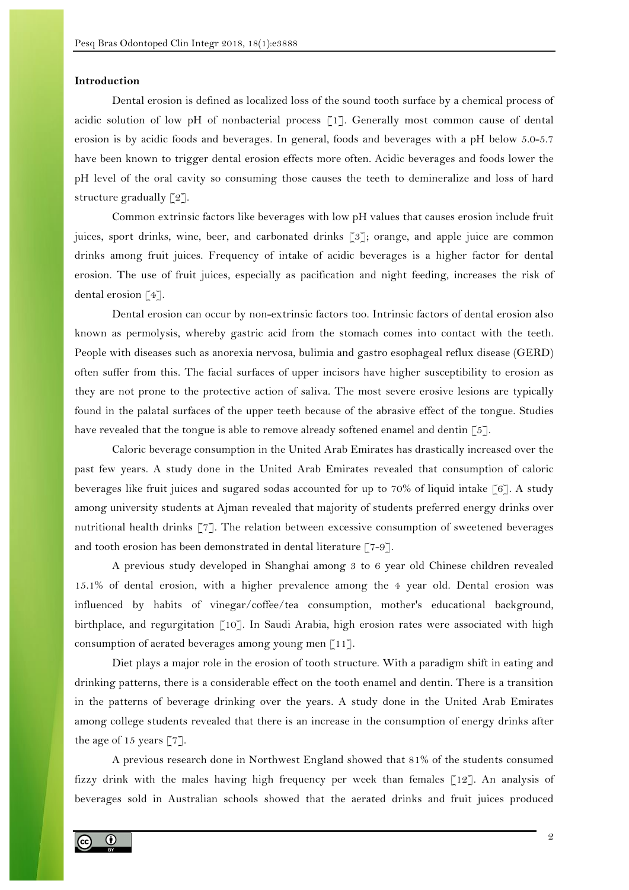## **Introduction**

Dental erosion is defined as localized loss of the sound tooth surface by a chemical process of acidic solution of low pH of nonbacterial process [1]. Generally most common cause of dental erosion is by acidic foods and beverages. In general, foods and beverages with a pH below 5.0-5.7 have been known to trigger dental erosion effects more often. Acidic beverages and foods lower the pH level of the oral cavity so consuming those causes the teeth to demineralize and loss of hard structure gradually [2].

Common extrinsic factors like beverages with low pH values that causes erosion include fruit juices, sport drinks, wine, beer, and carbonated drinks [3]; orange, and apple juice are common drinks among fruit juices. Frequency of intake of acidic beverages is a higher factor for dental erosion. The use of fruit juices, especially as pacification and night feeding, increases the risk of dental erosion [4].

Dental erosion can occur by non-extrinsic factors too. Intrinsic factors of dental erosion also known as permolysis, whereby gastric acid from the stomach comes into contact with the teeth. People with diseases such as anorexia nervosa, bulimia and gastro esophageal reflux disease (GERD) often suffer from this. The facial surfaces of upper incisors have higher susceptibility to erosion as they are not prone to the protective action of saliva. The most severe erosive lesions are typically found in the palatal surfaces of the upper teeth because of the abrasive effect of the tongue. Studies have revealed that the tongue is able to remove already softened enamel and dentin [5].

Caloric beverage consumption in the United Arab Emirates has drastically increased over the past few years. A study done in the United Arab Emirates revealed that consumption of caloric beverages like fruit juices and sugared sodas accounted for up to 70% of liquid intake [6]. A study among university students at Ajman revealed that majority of students preferred energy drinks over nutritional health drinks [7]. The relation between excessive consumption of sweetened beverages and tooth erosion has been demonstrated in dental literature [7-9].

A previous study developed in Shanghai among 3 to 6 year old Chinese children revealed 15.1% of dental erosion, with a higher prevalence among the 4 year old. Dental erosion was influenced by habits of vinegar/coffee/tea consumption, mother's educational background, birthplace, and regurgitation [10]. In Saudi Arabia, high erosion rates were associated with high consumption of aerated beverages among young men [11].

Diet plays a major role in the erosion of tooth structure. With a paradigm shift in eating and drinking patterns, there is a considerable effect on the tooth enamel and dentin. There is a transition in the patterns of beverage drinking over the years. A study done in the United Arab Emirates among college students revealed that there is an increase in the consumption of energy drinks after the age of 15 years [7].

A previous research done in Northwest England showed that 81% of the students consumed fizzy drink with the males having high frequency per week than females [12]. An analysis of beverages sold in Australian schools showed that the aerated drinks and fruit juices produced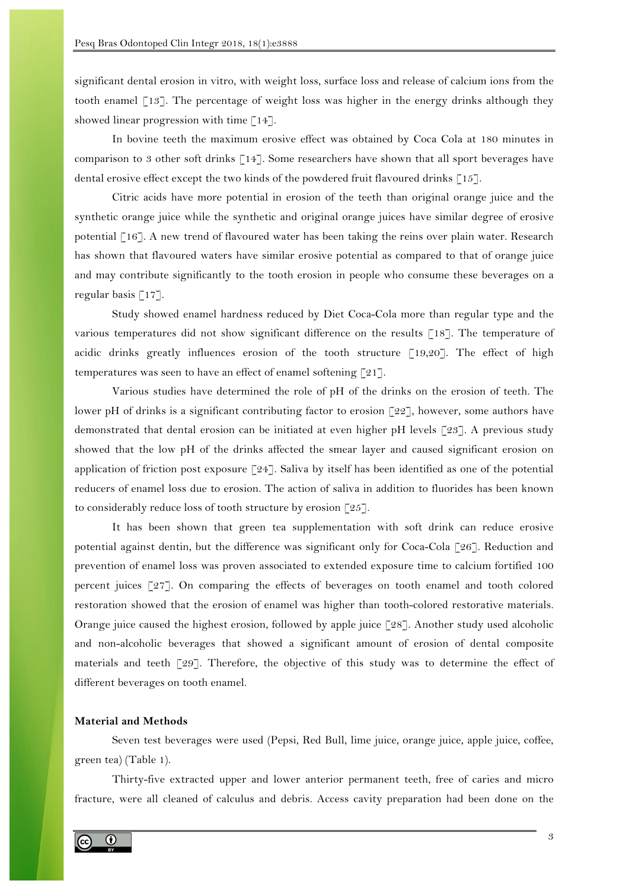significant dental erosion in vitro, with weight loss, surface loss and release of calcium ions from the tooth enamel [13]. The percentage of weight loss was higher in the energy drinks although they showed linear progression with time [14].

In bovine teeth the maximum erosive effect was obtained by Coca Cola at 180 minutes in comparison to 3 other soft drinks [14]. Some researchers have shown that all sport beverages have dental erosive effect except the two kinds of the powdered fruit flavoured drinks [15].

Citric acids have more potential in erosion of the teeth than original orange juice and the synthetic orange juice while the synthetic and original orange juices have similar degree of erosive potential [16]. A new trend of flavoured water has been taking the reins over plain water. Research has shown that flavoured waters have similar erosive potential as compared to that of orange juice and may contribute significantly to the tooth erosion in people who consume these beverages on a regular basis [17].

Study showed enamel hardness reduced by Diet Coca-Cola more than regular type and the various temperatures did not show significant difference on the results [18]. The temperature of acidic drinks greatly influences erosion of the tooth structure [19,20]. The effect of high temperatures was seen to have an effect of enamel softening [21].

Various studies have determined the role of pH of the drinks on the erosion of teeth. The lower pH of drinks is a significant contributing factor to erosion [22], however, some authors have demonstrated that dental erosion can be initiated at even higher pH levels [23]. A previous study showed that the low pH of the drinks affected the smear layer and caused significant erosion on application of friction post exposure  $\lceil 24 \rceil$ . Saliva by itself has been identified as one of the potential reducers of enamel loss due to erosion. The action of saliva in addition to fluorides has been known to considerably reduce loss of tooth structure by erosion [25].

It has been shown that green tea supplementation with soft drink can reduce erosive potential against dentin, but the difference was significant only for Coca-Cola [26]. Reduction and prevention of enamel loss was proven associated to extended exposure time to calcium fortified 100 percent juices [27]. On comparing the effects of beverages on tooth enamel and tooth colored restoration showed that the erosion of enamel was higher than tooth-colored restorative materials. Orange juice caused the highest erosion, followed by apple juice [28]. Another study used alcoholic and non-alcoholic beverages that showed a significant amount of erosion of dental composite materials and teeth [29]. Therefore, the objective of this study was to determine the effect of different beverages on tooth enamel.

#### **Material and Methods**

Seven test beverages were used (Pepsi, Red Bull, lime juice, orange juice, apple juice, coffee, green tea) (Table 1).

Thirty-five extracted upper and lower anterior permanent teeth, free of caries and micro fracture, were all cleaned of calculus and debris. Access cavity preparation had been done on the

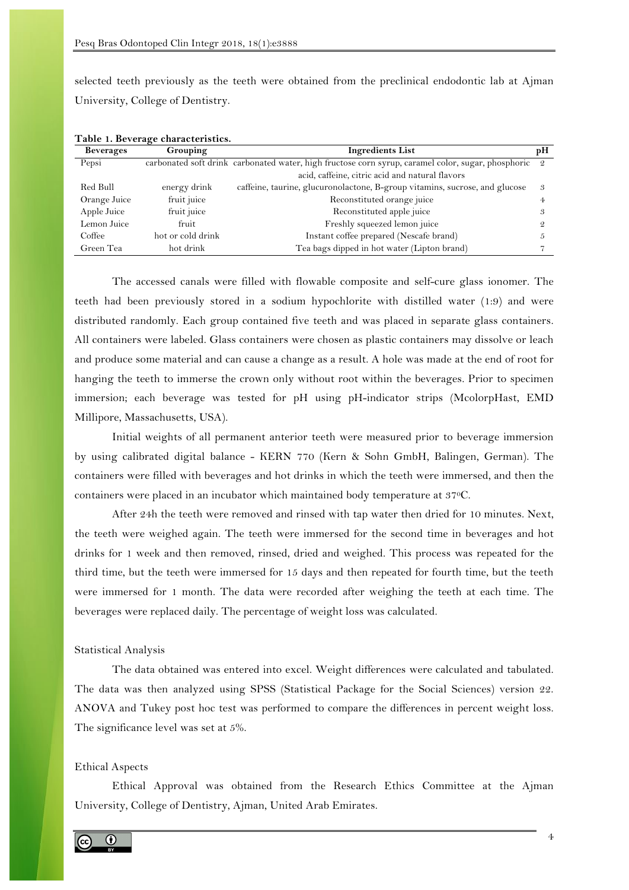selected teeth previously as the teeth were obtained from the preclinical endodontic lab at Ajman University, College of Dentistry.

| Beverages    | $\sim$<br>Grouping | <b>Ingredients List</b>                                                                              |   |  |
|--------------|--------------------|------------------------------------------------------------------------------------------------------|---|--|
| Pepsi        |                    | carbonated soft drink carbonated water, high fructose corn syrup, caramel color, sugar, phosphoric 2 |   |  |
|              |                    | acid, caffeine, citric acid and natural flavors                                                      |   |  |
| Red Bull     | energy drink       | caffeine, taurine, glucuronolactone, B-group vitamins, sucrose, and glucose                          | 3 |  |
| Orange Juice | fruit juice        | Reconstituted orange juice                                                                           |   |  |
| Apple Juice  | fruit juice        | Reconstituted apple juice                                                                            |   |  |
| Lemon Juice  | fruit              | Freshly squeezed lemon juice                                                                         |   |  |
| Coffee       | hot or cold drink  | Instant coffee prepared (Nescafe brand)                                                              |   |  |
| Green Tea    | hot drink          | Tea bags dipped in hot water (Lipton brand)                                                          |   |  |

**Table 1. Beverage characteristics.**

The accessed canals were filled with flowable composite and self-cure glass ionomer. The teeth had been previously stored in a sodium hypochlorite with distilled water (1:9) and were distributed randomly. Each group contained five teeth and was placed in separate glass containers. All containers were labeled. Glass containers were chosen as plastic containers may dissolve or leach and produce some material and can cause a change as a result. A hole was made at the end of root for hanging the teeth to immerse the crown only without root within the beverages. Prior to specimen immersion; each beverage was tested for pH using pH-indicator strips (McolorpHast, EMD Millipore, Massachusetts, USA).

Initial weights of all permanent anterior teeth were measured prior to beverage immersion by using calibrated digital balance - KERN 770 (Kern & Sohn GmbH, Balingen, German). The containers were filled with beverages and hot drinks in which the teeth were immersed, and then the containers were placed in an incubator which maintained body temperature at 370C.

After 24h the teeth were removed and rinsed with tap water then dried for 10 minutes. Next, the teeth were weighed again. The teeth were immersed for the second time in beverages and hot drinks for 1 week and then removed, rinsed, dried and weighed. This process was repeated for the third time, but the teeth were immersed for 15 days and then repeated for fourth time, but the teeth were immersed for 1 month. The data were recorded after weighing the teeth at each time. The beverages were replaced daily. The percentage of weight loss was calculated.

#### Statistical Analysis

The data obtained was entered into excel. Weight differences were calculated and tabulated. The data was then analyzed using SPSS (Statistical Package for the Social Sciences) version 22. ANOVA and Tukey post hoc test was performed to compare the differences in percent weight loss. The significance level was set at 5%.

## Ethical Aspects

Ethical Approval was obtained from the Research Ethics Committee at the Ajman University, College of Dentistry, Ajman, United Arab Emirates.

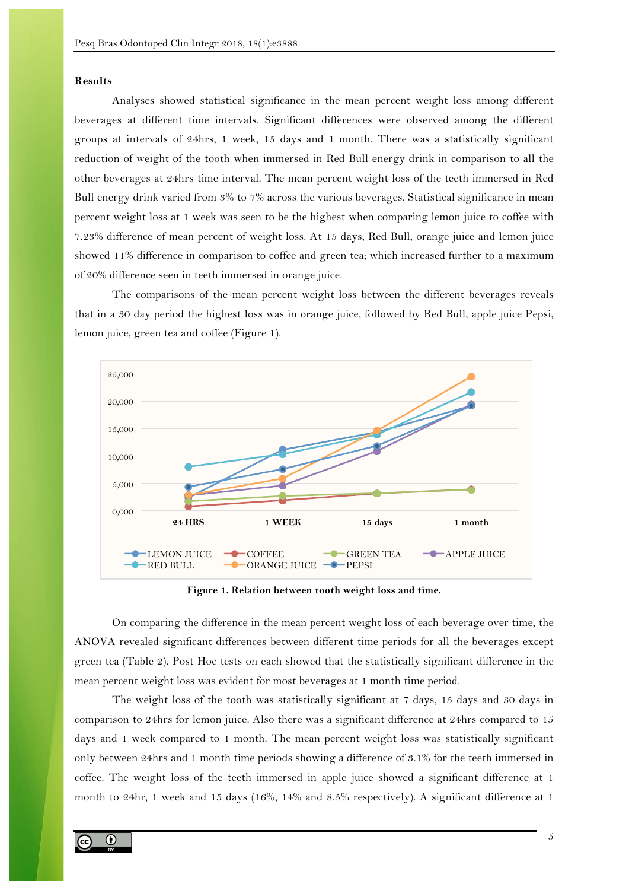#### **Results**

Analyses showed statistical significance in the mean percent weight loss among different beverages at different time intervals. Significant differences were observed among the different groups at intervals of 24hrs, 1 week, 15 days and 1 month. There was a statistically significant reduction of weight of the tooth when immersed in Red Bull energy drink in comparison to all the other beverages at 24hrs time interval. The mean percent weight loss of the teeth immersed in Red Bull energy drink varied from 3% to 7% across the various beverages. Statistical significance in mean percent weight loss at 1 week was seen to be the highest when comparing lemon juice to coffee with 7.23% difference of mean percent of weight loss. At 15 days, Red Bull, orange juice and lemon juice showed 11% difference in comparison to coffee and green tea; which increased further to a maximum of 20% difference seen in teeth immersed in orange juice.

The comparisons of the mean percent weight loss between the different beverages reveals that in a 30 day period the highest loss was in orange juice, followed by Red Bull, apple juice Pepsi, lemon juice, green tea and coffee (Figure 1).



**Figure 1. Relation between tooth weight loss and time.**

On comparing the difference in the mean percent weight loss of each beverage over time, the ANOVA revealed significant differences between different time periods for all the beverages except green tea (Table 2). Post Hoc tests on each showed that the statistically significant difference in the mean percent weight loss was evident for most beverages at 1 month time period.

The weight loss of the tooth was statistically significant at 7 days, 15 days and 30 days in comparison to 24hrs for lemon juice. Also there was a significant difference at 24hrs compared to 15 days and 1 week compared to 1 month. The mean percent weight loss was statistically significant only between 24hrs and 1 month time periods showing a difference of 3.1% for the teeth immersed in coffee. The weight loss of the teeth immersed in apple juice showed a significant difference at 1 month to 24hr, 1 week and 15 days (16%, 14% and 8.5% respectively). A significant difference at 1

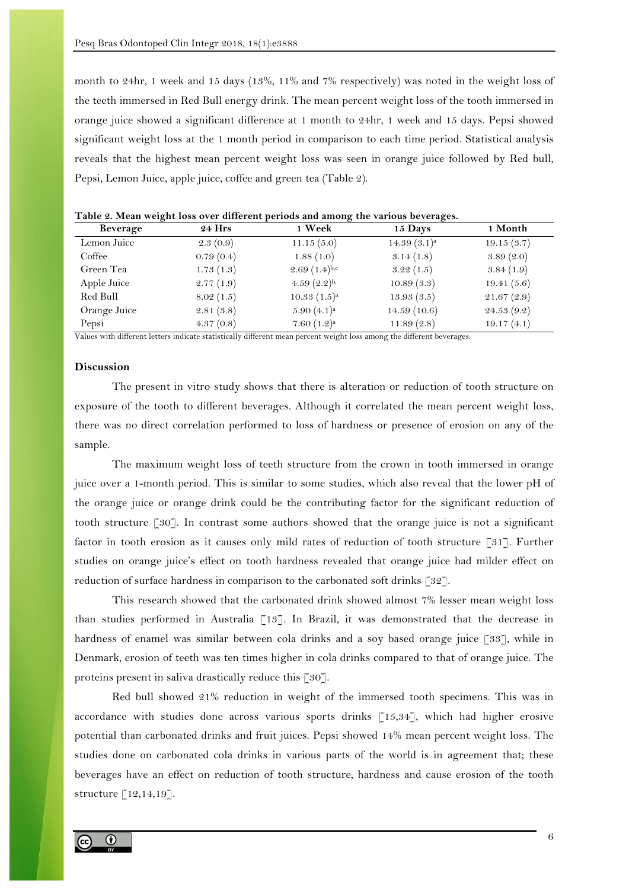month to 24hr, 1 week and 15 days (13%, 11% and 7% respectively) was noted in the weight loss of the teeth immersed in Red Bull energy drink. The mean percent weight loss of the tooth immersed in orange juice showed a significant difference at 1 month to 24hr, 1 week and 15 days. Pepsi showed significant weight loss at the 1 month period in comparison to each time period. Statistical analysis reveals that the highest mean percent weight loss was seen in orange juice followed by Red bull, Pepsi, Lemon Juice, apple juice, coffee and green tea (Table 2).

| $\sim$ $\sim$ $\sim$ $\sim$ $\sim$ $\sim$ |               |                   |                |            |  |  |
|-------------------------------------------|---------------|-------------------|----------------|------------|--|--|
| Beverage                                  | <b>24 Hrs</b> | 1 Week            | 15 Days        | 1 Month    |  |  |
| Lemon Juice                               | 2.3(0.9)      | 11.15(5.0)        | $14.39(3.1)^a$ | 19.15(3.7) |  |  |
| Coffee                                    | 0.79(0.4)     | 1.88(1.0)         | 3.14(1.8)      | 3.89(2.0)  |  |  |
| Green Tea                                 | 1.73(1.3)     | $2.69(1.4)^{b,c}$ | 3.22(1.5)      | 3.84(1.9)  |  |  |
| Apple Juice                               | 2.77(1.9)     | 4.59 $(2.2)^{b}$  | 10.89(3.3)     | 19.41(5.6) |  |  |
| Red Bull                                  | 8.02(1.5)     | $10.33(1.5)^a$    | 13.93(3.5)     | 21.67(2.9) |  |  |
| Orange Juice                              | 2.81(3.8)     | $5.90(4.1)^a$     | 14.59(10.6)    | 24.53(9.2) |  |  |
| Pepsi                                     | 4.37(0.8)     | 7.60 $(1.2)^a$    | 11.89(2.8)     | 19.17(4.1) |  |  |

**Table 2. Mean weight loss over different periods and among the various beverages.**

Values with different letters indicate statistically different mean percent weight loss among the different beverages.

## **Discussion**

The present in vitro study shows that there is alteration or reduction of tooth structure on exposure of the tooth to different beverages. Although it correlated the mean percent weight loss, there was no direct correlation performed to loss of hardness or presence of erosion on any of the sample.

The maximum weight loss of teeth structure from the crown in tooth immersed in orange juice over a 1-month period. This is similar to some studies, which also reveal that the lower pH of the orange juice or orange drink could be the contributing factor for the significant reduction of tooth structure [30]. In contrast some authors showed that the orange juice is not a significant factor in tooth erosion as it causes only mild rates of reduction of tooth structure [31]. Further studies on orange juice's effect on tooth hardness revealed that orange juice had milder effect on reduction of surface hardness in comparison to the carbonated soft drinks [32].

This research showed that the carbonated drink showed almost 7% lesser mean weight loss than studies performed in Australia [13]. In Brazil, it was demonstrated that the decrease in hardness of enamel was similar between cola drinks and a soy based orange juice [33], while in Denmark, erosion of teeth was ten times higher in cola drinks compared to that of orange juice. The proteins present in saliva drastically reduce this [30].

Red bull showed 21% reduction in weight of the immersed tooth specimens. This was in accordance with studies done across various sports drinks [15,34], which had higher erosive potential than carbonated drinks and fruit juices. Pepsi showed 14% mean percent weight loss. The studies done on carbonated cola drinks in various parts of the world is in agreement that; these beverages have an effect on reduction of tooth structure, hardness and cause erosion of the tooth structure [12,14,19].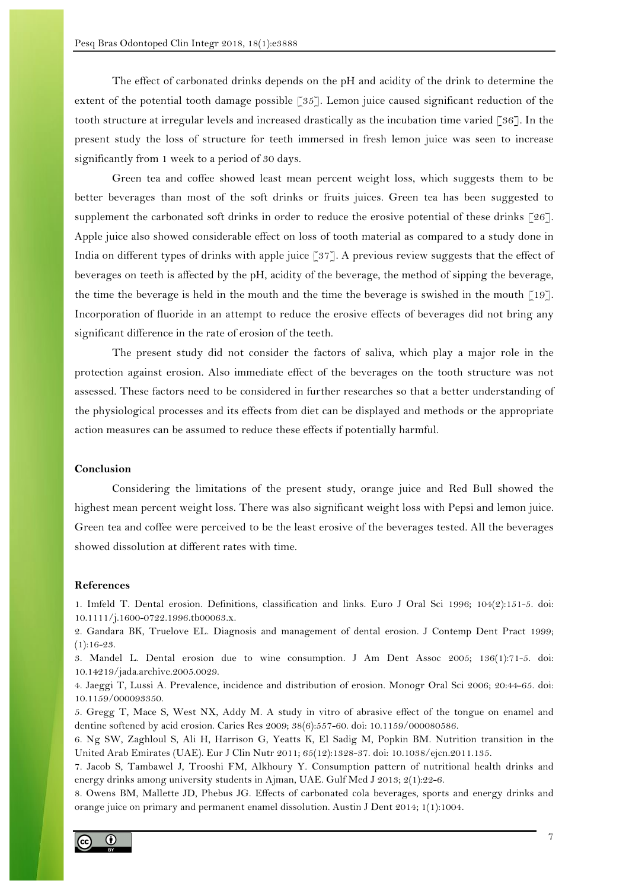The effect of carbonated drinks depends on the pH and acidity of the drink to determine the extent of the potential tooth damage possible [35]. Lemon juice caused significant reduction of the tooth structure at irregular levels and increased drastically as the incubation time varied [36]. In the present study the loss of structure for teeth immersed in fresh lemon juice was seen to increase significantly from 1 week to a period of 30 days.

Green tea and coffee showed least mean percent weight loss, which suggests them to be better beverages than most of the soft drinks or fruits juices. Green tea has been suggested to supplement the carbonated soft drinks in order to reduce the erosive potential of these drinks  $\lceil 26 \rceil$ . Apple juice also showed considerable effect on loss of tooth material as compared to a study done in India on different types of drinks with apple juice [37]. A previous review suggests that the effect of beverages on teeth is affected by the pH, acidity of the beverage, the method of sipping the beverage, the time the beverage is held in the mouth and the time the beverage is swished in the mouth [19]. Incorporation of fluoride in an attempt to reduce the erosive effects of beverages did not bring any significant difference in the rate of erosion of the teeth.

The present study did not consider the factors of saliva, which play a major role in the protection against erosion. Also immediate effect of the beverages on the tooth structure was not assessed. These factors need to be considered in further researches so that a better understanding of the physiological processes and its effects from diet can be displayed and methods or the appropriate action measures can be assumed to reduce these effects if potentially harmful.

## **Conclusion**

Considering the limitations of the present study, orange juice and Red Bull showed the highest mean percent weight loss. There was also significant weight loss with Pepsi and lemon juice. Green tea and coffee were perceived to be the least erosive of the beverages tested. All the beverages showed dissolution at different rates with time.

### **References**

1. Imfeld T. Dental erosion. Definitions, classification and links. Euro J Oral Sci 1996; 104(2):151-5. doi: 10.1111/j.1600-0722.1996.tb00063.x.

2. Gandara BK, Truelove EL. Diagnosis and management of dental erosion. J Contemp Dent Pract 1999;  $(1):16-23.$ 

3. Mandel L. Dental erosion due to wine consumption. J Am Dent Assoc 2005; 136(1):71-5. doi: 10.14219/jada.archive.2005.0029.

4. Jaeggi T, Lussi A. Prevalence, incidence and distribution of erosion. Monogr Oral Sci 2006; 20:44-65. doi: 10.1159/000093350.

5. Gregg T, Mace S, West NX, Addy M. A study in vitro of abrasive effect of the tongue on enamel and dentine softened by acid erosion. Caries Res 2009; 38(6):557-60. doi: 10.1159/000080586.

6. Ng SW, Zaghloul S, Ali H, Harrison G, Yeatts K, El Sadig M, Popkin BM. Nutrition transition in the United Arab Emirates (UAE). Eur J Clin Nutr 2011; 65(12):1328-37. doi: 10.1038/ejcn.2011.135.

7. Jacob S, Tambawel J, Trooshi FM, Alkhoury Y. Consumption pattern of nutritional health drinks and energy drinks among university students in Ajman, UAE. Gulf Med J 2013; 2(1):22-6.

8. Owens BM, Mallette JD, Phebus JG. Effects of carbonated cola beverages, sports and energy drinks and orange juice on primary and permanent enamel dissolution. Austin J Dent 2014; 1(1):1004.

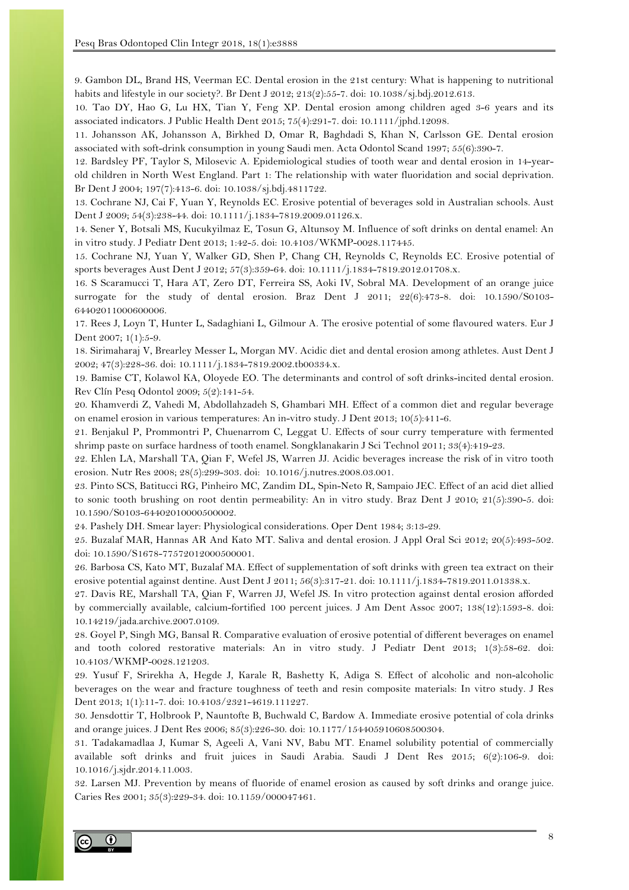9. Gambon DL, Brand HS, Veerman EC. Dental erosion in the 21st century: What is happening to nutritional habits and lifestyle in our society?. Br Dent J 2012; 213(2):55-7. doi: 10.1038/sj.bdj.2012.613.

10. Tao DY, Hao G, Lu HX, Tian Y, Feng XP. Dental erosion among children aged 3-6 years and its associated indicators. J Public Health Dent 2015; 75(4):291-7. doi: 10.1111/jphd.12098.

11. Johansson AK, Johansson A, Birkhed D, Omar R, Baghdadi S, Khan N, Carlsson GE. Dental erosion associated with soft-drink consumption in young Saudi men. Acta Odontol Scand 1997; 55(6):390-7.

12. Bardsley PF, Taylor S, Milosevic A. Epidemiological studies of tooth wear and dental erosion in 14-yearold children in North West England. Part 1: The relationship with water fluoridation and social deprivation. Br Dent J 2004; 197(7):413-6. doi: 10.1038/sj.bdj.4811722.

13. Cochrane NJ, Cai F, Yuan Y, Reynolds EC. Erosive potential of beverages sold in Australian schools. Aust Dent J 2009; 54(3):238-44. doi: 10.1111/j.1834-7819.2009.01126.x.

14. Sener Y, Botsali MS, Kucukyilmaz E, Tosun G, Altunsoy M. Influence of soft drinks on dental enamel: An in vitro study. J Pediatr Dent 2013; 1:42-5. doi: 10.4103/WKMP-0028.117445.

15. Cochrane NJ, Yuan Y, Walker GD, Shen P, Chang CH, Reynolds C, Reynolds EC. Erosive potential of sports beverages Aust Dent J 2012; 57(3):359-64. doi: 10.1111/j.1834-7819.2012.01708.x.

16. S Scaramucci T, Hara AT, Zero DT, Ferreira SS, Aoki IV, Sobral MA. Development of an orange juice surrogate for the study of dental erosion. Braz Dent J 2011; 22(6):473-8. doi: 10.1590/S0103- 64402011000600006.

17. Rees J, Loyn T, Hunter L, Sadaghiani L, Gilmour A. The erosive potential of some flavoured waters. Eur J Dent 2007; 1(1):5-9.

18. Sirimaharaj V, Brearley Messer L, Morgan MV. Acidic diet and dental erosion among athletes. Aust Dent J 2002; 47(3):228-36. doi: 10.1111/j.1834-7819.2002.tb00334.x.

19. Bamise CT, Kolawol KA, Oloyede EO. The determinants and control of soft drinks-incited dental erosion. Rev Clín Pesq Odontol 2009; 5(2):141-54.

20. Khamverdi Z, Vahedi M, Abdollahzadeh S, Ghambari MH. Effect of a common diet and regular beverage on enamel erosion in various temperatures: An in-vitro study. J Dent 2013; 10(5):411-6.

21. Benjakul P, Prommontri P, Chuenarrom C, Leggat U. Effects of sour curry temperature with fermented shrimp paste on surface hardness of tooth enamel. Songklanakarin J Sci Technol 2011; 33(4):419-23.

22. Ehlen LA, Marshall TA, Qian F, Wefel JS, Warren JJ. Acidic beverages increase the risk of in vitro tooth erosion. Nutr Res 2008; 28(5):299-303. doi: 10.1016/j.nutres.2008.03.001.

23. Pinto SCS, Batitucci RG, Pinheiro MC, Zandim DL, Spin-Neto R, Sampaio JEC. Effect of an acid diet allied to sonic tooth brushing on root dentin permeability: An in vitro study. Braz Dent J 2010; 21(5):390-5. doi: 10.1590/S0103-64402010000500002.

24. Pashely DH. Smear layer: Physiological considerations. Oper Dent 1984; 3:13-29.

25. Buzalaf MAR, Hannas AR And Kato MT. Saliva and dental erosion. J Appl Oral Sci 2012; 20(5):493-502. doi: 10.1590/S1678-77572012000500001.

26. Barbosa CS, Kato MT, Buzalaf MA. Effect of supplementation of soft drinks with green tea extract on their erosive potential against dentine. Aust Dent J 2011; 56(3):317-21. doi: 10.1111/j.1834-7819.2011.01338.x.

27. Davis RE, Marshall TA, Qian F, Warren JJ, Wefel JS. In vitro protection against dental erosion afforded by commercially available, calcium-fortified 100 percent juices. J Am Dent Assoc 2007; 138(12):1593-8. doi: 10.14219/jada.archive.2007.0109.

28. Goyel P, Singh MG, Bansal R. Comparative evaluation of erosive potential of different beverages on enamel and tooth colored restorative materials: An in vitro study. J Pediatr Dent 2013; 1(3):58-62. doi: 10.4103/WKMP-0028.121203.

29. Yusuf F, Srirekha A, Hegde J, Karale R, Bashetty K, Adiga S. Effect of alcoholic and non-alcoholic beverages on the wear and fracture toughness of teeth and resin composite materials: In vitro study. J Res Dent 2013; 1(1):11-7. doi: 10.4103/2321-4619.111227.

30. Jensdottir T, Holbrook P, Nauntofte B, Buchwald C, Bardow A. Immediate erosive potential of cola drinks and orange juices. J Dent Res 2006; 85(3):226-30. doi: 10.1177/154405910608500304.

31. Tadakamadlaa J, Kumar S, Ageeli A, Vani NV, Babu MT. Enamel solubility potential of commercially available soft drinks and fruit juices in Saudi Arabia. Saudi J Dent Res 2015; 6(2):106-9. doi: 10.1016/j.sjdr.2014.11.003.

32. Larsen MJ. Prevention by means of fluoride of enamel erosion as caused by soft drinks and orange juice. Caries Res 2001; 35(3):229-34. doi: 10.1159/000047461.